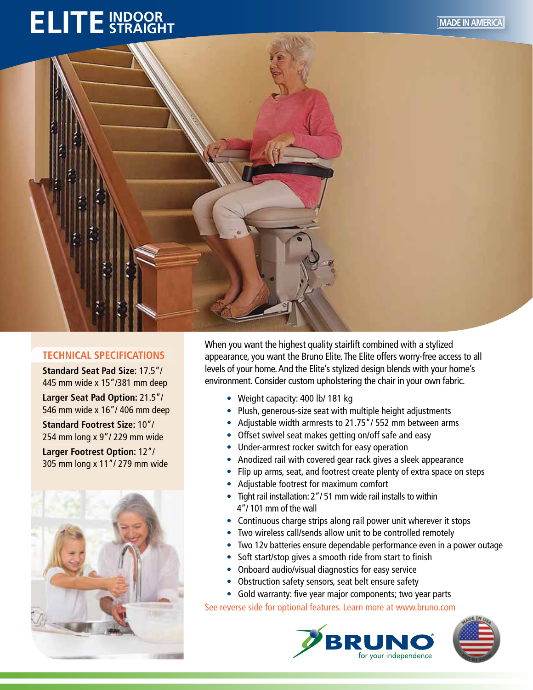## **ELITE** STRAIGHT



## **TECHNICAL SPECIFICATIONS**

**Standard Seat Pad Size:** 17.5"/ 445 mm wide x 15"/381 mm deep

**Larger Seat Pad Option:** 21.5"/ 546 mm wide x 16"/ 406 mm deep

**Standard Footrest Size:** 10"/ 254 mm long x 9"/ 229 mm wide **Larger Footrest Option:** 12"/ 305 mm long x 11"/ 279 mm wide



When you want the highest quality stairlift combined with a stylized appearance, you want the Bruno Elite. The Elite offers worry-free access to all levels of your home. And the Elite's stylized design blends with your home's environment. Consider custom upholstering the chair in your own fabric.

- Weight capacity: 400 lb/ 181 kg
- Plush, generous-size seat with multiple height adjustments
- Adjustable width armrests to 21.75"/ 552 mm between arms
- Offset swivel seat makes getting on/off safe and easy
- Under-armrest rocker switch for easy operation
- Anodized rail with covered gear rack gives a sleek appearance
- Flip up arms, seat, and footrest create plenty of extra space on steps
- Adjustable footrest for maximum comfort
- Tight rail installation: 2"/ 51 mm wide rail installs to within 4"/ 101 mm of the wall
- Continuous charge strips along rail power unit wherever it stops
- Two wireless call/sends allow unit to be controlled remotely
- Two 12v batteries ensure dependable performance even in a power outage
- Soft start/stop gives a smooth ride from start to finish
- Onboard audio/visual diagnostics for easy service
- Obstruction safety sensors, seat belt ensure safety
- Gold warranty: five year major components; two year parts

See reverse side for optional features. Learn more at www.bruno.com